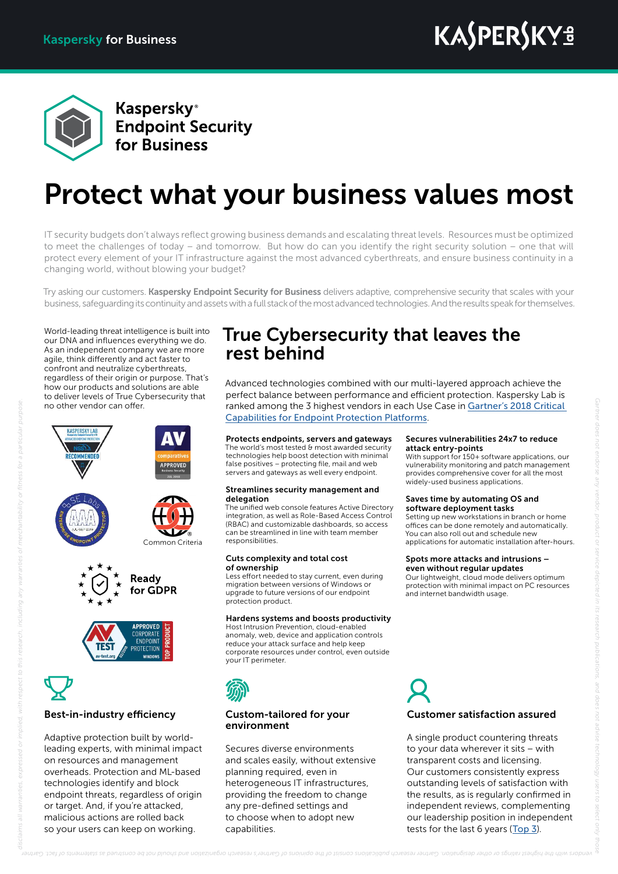

**Kaspersky**<sup>®</sup> **Endpoint Security** for Business

# Protect what your business values most

IT security budgets don't always reflect growing business demands and escalating threat levels. Resources must be optimized to meet the challenges of today – and tomorrow. But how do can you identify the right security solution – one that will protect every element of your IT infrastructure against the most advanced cyberthreats, and ensure business continuity in a changing world, without blowing your budget?

Try asking our customers. Kaspersky Endpoint Security for Business delivers adaptive, comprehensive security that scales with your business, safeguarding its continuity and assets with a full stack of the most advanced technologies. And the results speak for themselves.

World-leading threat intelligence is built into our DNA and influences everything we do. As an independent company we are more agile, think differently and act faster to confront and neutralize cyberthreats, regardless of their origin or purpose. That's how our products and solutions are able to deliver levels of True Cybersecurity that no other vendor can offer.



# Best-in-industry efficiency

Adaptive protection built by worldleading experts, with minimal impact on resources and management overheads. Protection and ML-based technologies identify and block endpoint threats, regardless of origin or target. And, if you're attacked, malicious actions are rolled back so your users can keep on working.

## True Cybersecurity that leaves the rest behind

Advanced technologies combined with our multi-layered approach achieve the perfect balance between performance and efficient protection. Kaspersky Lab is ranked among the 3 highest vendors in each Use Case in [Gartner's 2018 Critical](https://www.kaspersky.com/critical-capabilities-for-epp-gartner) [Capabilities for Endpoint Protection Platforms](https://www.kaspersky.com/critical-capabilities-for-epp-gartner).

### Protects endpoints, servers and gateways

The world's most tested & most awarded security technologies help boost detection with minimal false positives – protecting file, mail and web servers and gateways as well every endpoint.

### Streamlines security management and delegation

The unified web console features Active Directory integration, as well as Role-Based Access Control (RBAC) and customizable dashboards, so access can be streamlined in line with team member responsibilities.

### Cuts complexity and total cost of ownership

Less effort needed to stay current, even during migration between versions of Windows or upgrade to future versions of our endpoint protection product.

### Hardens systems and boosts productivity

Host Intrusion Prevention, cloud-enabled anomaly, web, device and application controls reduce your attack surface and help keep corporate resources under control, even outside your IT perimeter.

### Custom-tailored for your environment

Secures diverse environments and scales easily, without extensive planning required, even in heterogeneous IT infrastructures, providing the freedom to change any pre-defined settings and to choose when to adopt new capabilities.

### Secures vulnerabilities 24x7 to reduce attack entry-points

With support for 150+ software applications, our vulnerability monitoring and patch management provides comprehensive cover for all the most widely-used business applications.

### Saves time by automating OS and software deployment tasks

Setting up new workstations in branch or home offices can be done remotely and automatically. You can also roll out and schedule new applications for automatic installation after-hours.

### Spots more attacks and intrusions – even without regular updates

Our lightweight, cloud mode delivers optimum protection with minimal impact on PC resources .<br>and internet bandwidth usage.

Customer satisfaction assured

A single product countering threats to your data wherever it sits – with transparent costs and licensing. Our customers consistently express outstanding levels of satisfaction with the results, as is regularly confirmed in independent reviews, complementing our leadership position in independent tests for the last 6 years ([Top 3](https://www.kaspersky.com/top3)).

# *disclaims all warranties, expressed or implied, with res*